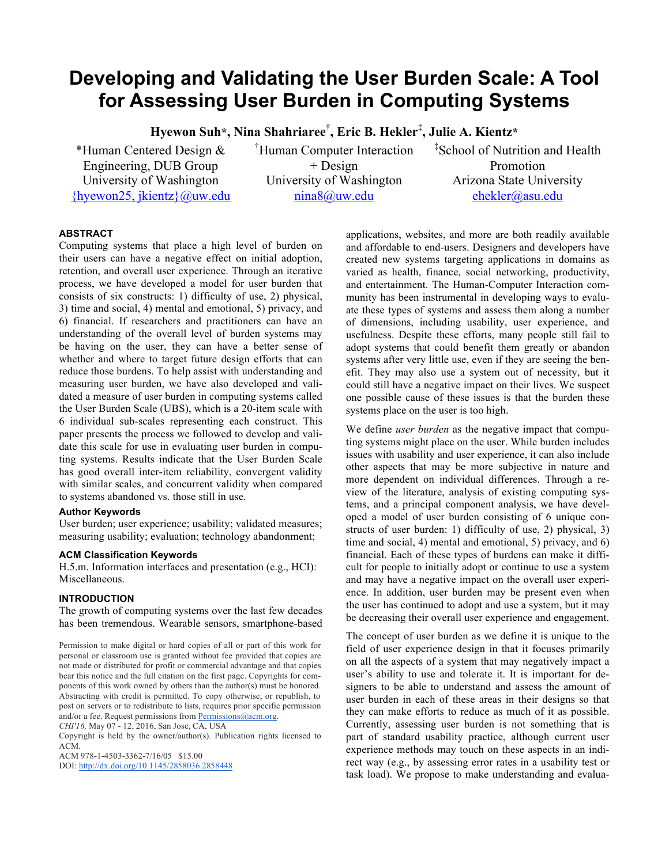# **Developing and Validating the User Burden Scale: A Tool for Assessing User Burden in Computing Systems**

**Hyewon Suh\*, Nina Shahriaree† , Eric B. Hekler‡ , Julie A. Kientz\***

\*Human Centered Design & Engineering, DUB Group University of Washington {hyewon25, jkientz}@uw.edu † Human Computer Interaction + Design University of Washington nina8@uw.edu

‡ School of Nutrition and Health Promotion Arizona State University ehekler@asu.edu

# **ABSTRACT**

Computing systems that place a high level of burden on their users can have a negative effect on initial adoption, retention, and overall user experience. Through an iterative process, we have developed a model for user burden that consists of six constructs: 1) difficulty of use, 2) physical, 3) time and social, 4) mental and emotional, 5) privacy, and 6) financial. If researchers and practitioners can have an understanding of the overall level of burden systems may be having on the user, they can have a better sense of whether and where to target future design efforts that can reduce those burdens. To help assist with understanding and measuring user burden, we have also developed and validated a measure of user burden in computing systems called the User Burden Scale (UBS), which is a 20-item scale with 6 individual sub-scales representing each construct. This paper presents the process we followed to develop and validate this scale for use in evaluating user burden in computing systems. Results indicate that the User Burden Scale has good overall inter-item reliability, convergent validity with similar scales, and concurrent validity when compared to systems abandoned vs. those still in use.

# **Author Keywords**

User burden; user experience; usability; validated measures; measuring usability; evaluation; technology abandonment;

# **ACM Classification Keywords**

H.5.m. Information interfaces and presentation (e.g., HCI): Miscellaneous.

# **INTRODUCTION**

The growth of computing systems over the last few decades has been tremendous. Wearable sensors, smartphone-based

*CHI'16,* May 07 - 12, 2016, San Jose, CA, USA

Copyright is held by the owner/author(s). Publication rights licensed to ACM.

ACM 978-1-4503-3362-7/16/05 \$15.00

DOI: http://dx.doi.org/10.1145/2858036.2858448

applications, websites, and more are both readily available and affordable to end-users. Designers and developers have created new systems targeting applications in domains as varied as health, finance, social networking, productivity, and entertainment. The Human-Computer Interaction community has been instrumental in developing ways to evaluate these types of systems and assess them along a number of dimensions, including usability, user experience, and usefulness. Despite these efforts, many people still fail to adopt systems that could benefit them greatly or abandon systems after very little use, even if they are seeing the benefit. They may also use a system out of necessity, but it could still have a negative impact on their lives. We suspect one possible cause of these issues is that the burden these systems place on the user is too high.

We define *user burden* as the negative impact that computing systems might place on the user. While burden includes issues with usability and user experience, it can also include other aspects that may be more subjective in nature and more dependent on individual differences. Through a review of the literature, analysis of existing computing systems, and a principal component analysis, we have developed a model of user burden consisting of 6 unique constructs of user burden: 1) difficulty of use, 2) physical, 3) time and social, 4) mental and emotional, 5) privacy, and 6) financial. Each of these types of burdens can make it difficult for people to initially adopt or continue to use a system and may have a negative impact on the overall user experience. In addition, user burden may be present even when the user has continued to adopt and use a system, but it may be decreasing their overall user experience and engagement.

The concept of user burden as we define it is unique to the field of user experience design in that it focuses primarily on all the aspects of a system that may negatively impact a user's ability to use and tolerate it. It is important for designers to be able to understand and assess the amount of user burden in each of these areas in their designs so that they can make efforts to reduce as much of it as possible. Currently, assessing user burden is not something that is part of standard usability practice, although current user experience methods may touch on these aspects in an indirect way (e.g., by assessing error rates in a usability test or task load). We propose to make understanding and evalua-

Permission to make digital or hard copies of all or part of this work for personal or classroom use is granted without fee provided that copies are not made or distributed for profit or commercial advantage and that copies bear this notice and the full citation on the first page. Copyrights for components of this work owned by others than the author(s) must be honored. Abstracting with credit is permitted. To copy otherwise, or republish, to post on servers or to redistribute to lists, requires prior specific permission and/or a fee. Request permissions from **Permissions**@acm.org.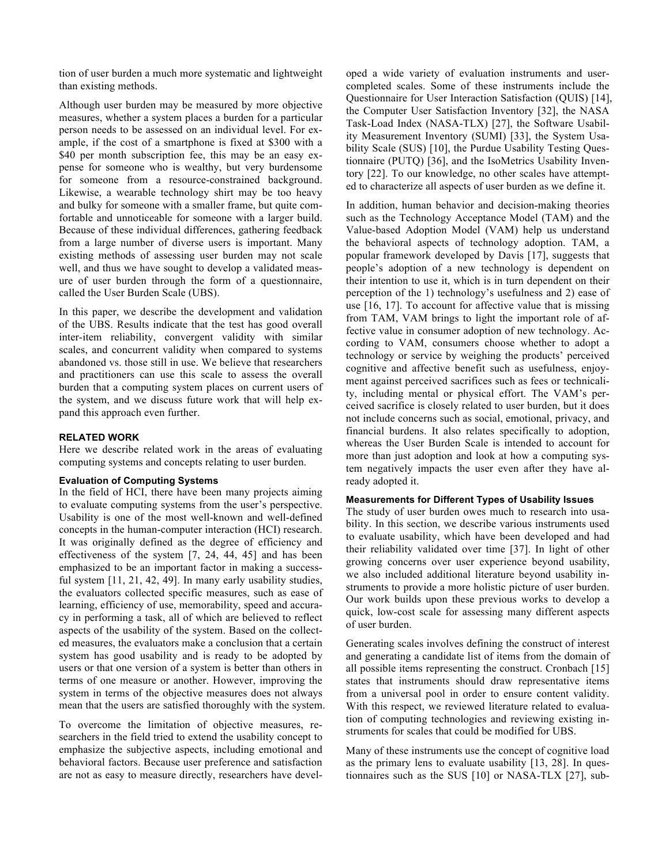tion of user burden a much more systematic and lightweight than existing methods.

Although user burden may be measured by more objective measures, whether a system places a burden for a particular person needs to be assessed on an individual level. For example, if the cost of a smartphone is fixed at \$300 with a \$40 per month subscription fee, this may be an easy expense for someone who is wealthy, but very burdensome for someone from a resource-constrained background. Likewise, a wearable technology shirt may be too heavy and bulky for someone with a smaller frame, but quite comfortable and unnoticeable for someone with a larger build. Because of these individual differences, gathering feedback from a large number of diverse users is important. Many existing methods of assessing user burden may not scale well, and thus we have sought to develop a validated measure of user burden through the form of a questionnaire, called the User Burden Scale (UBS).

In this paper, we describe the development and validation of the UBS. Results indicate that the test has good overall inter-item reliability, convergent validity with similar scales, and concurrent validity when compared to systems abandoned vs. those still in use. We believe that researchers and practitioners can use this scale to assess the overall burden that a computing system places on current users of the system, and we discuss future work that will help expand this approach even further.

# **RELATED WORK**

Here we describe related work in the areas of evaluating computing systems and concepts relating to user burden.

# **Evaluation of Computing Systems**

In the field of HCI, there have been many projects aiming to evaluate computing systems from the user's perspective. Usability is one of the most well-known and well-defined concepts in the human-computer interaction (HCI) research. It was originally defined as the degree of efficiency and effectiveness of the system [7, 24, 44, 45] and has been emphasized to be an important factor in making a successful system [11, 21, 42, 49]. In many early usability studies, the evaluators collected specific measures, such as ease of learning, efficiency of use, memorability, speed and accuracy in performing a task, all of which are believed to reflect aspects of the usability of the system. Based on the collected measures, the evaluators make a conclusion that a certain system has good usability and is ready to be adopted by users or that one version of a system is better than others in terms of one measure or another. However, improving the system in terms of the objective measures does not always mean that the users are satisfied thoroughly with the system.

To overcome the limitation of objective measures, researchers in the field tried to extend the usability concept to emphasize the subjective aspects, including emotional and behavioral factors. Because user preference and satisfaction are not as easy to measure directly, researchers have developed a wide variety of evaluation instruments and usercompleted scales. Some of these instruments include the Questionnaire for User Interaction Satisfaction (QUIS) [14], the Computer User Satisfaction Inventory [32], the NASA Task-Load Index (NASA-TLX) [27], the Software Usability Measurement Inventory (SUMI) [33], the System Usability Scale (SUS) [10], the Purdue Usability Testing Questionnaire (PUTQ) [36], and the IsoMetrics Usability Inventory [22]. To our knowledge, no other scales have attempted to characterize all aspects of user burden as we define it.

In addition, human behavior and decision-making theories such as the Technology Acceptance Model (TAM) and the Value-based Adoption Model (VAM) help us understand the behavioral aspects of technology adoption. TAM, a popular framework developed by Davis [17], suggests that people's adoption of a new technology is dependent on their intention to use it, which is in turn dependent on their perception of the 1) technology's usefulness and 2) ease of use [16, 17]. To account for affective value that is missing from TAM, VAM brings to light the important role of affective value in consumer adoption of new technology. According to VAM, consumers choose whether to adopt a technology or service by weighing the products' perceived cognitive and affective benefit such as usefulness, enjoyment against perceived sacrifices such as fees or technicality, including mental or physical effort. The VAM's perceived sacrifice is closely related to user burden, but it does not include concerns such as social, emotional, privacy, and financial burdens. It also relates specifically to adoption, whereas the User Burden Scale is intended to account for more than just adoption and look at how a computing system negatively impacts the user even after they have already adopted it.

# **Measurements for Different Types of Usability Issues**

The study of user burden owes much to research into usability. In this section, we describe various instruments used to evaluate usability, which have been developed and had their reliability validated over time [37]. In light of other growing concerns over user experience beyond usability, we also included additional literature beyond usability instruments to provide a more holistic picture of user burden. Our work builds upon these previous works to develop a quick, low-cost scale for assessing many different aspects of user burden.

Generating scales involves defining the construct of interest and generating a candidate list of items from the domain of all possible items representing the construct. Cronbach [15] states that instruments should draw representative items from a universal pool in order to ensure content validity. With this respect, we reviewed literature related to evaluation of computing technologies and reviewing existing instruments for scales that could be modified for UBS.

Many of these instruments use the concept of cognitive load as the primary lens to evaluate usability [13, 28]. In questionnaires such as the SUS [10] or NASA-TLX [27], sub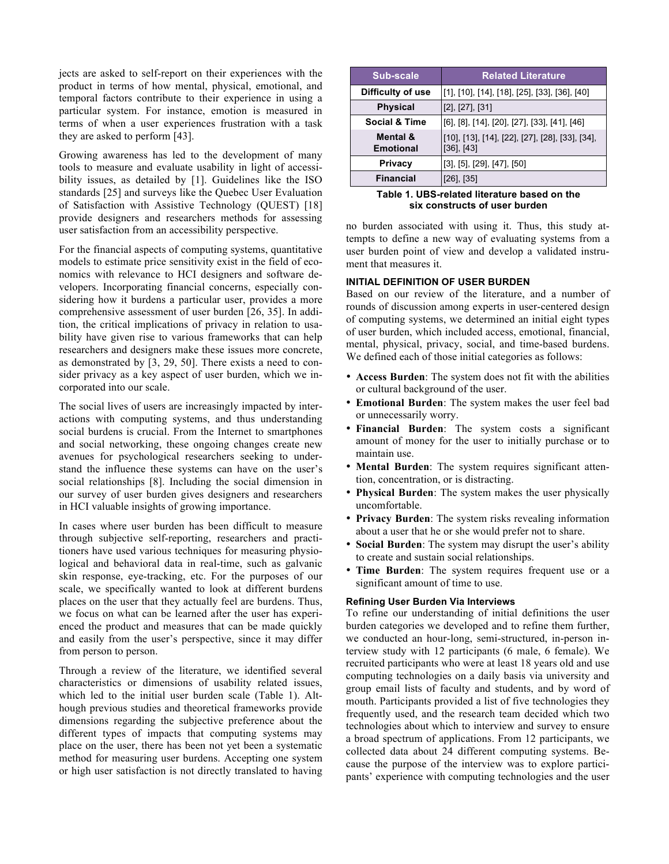jects are asked to self-report on their experiences with the product in terms of how mental, physical, emotional, and temporal factors contribute to their experience in using a particular system. For instance, emotion is measured in terms of when a user experiences frustration with a task they are asked to perform [43].

Growing awareness has led to the development of many tools to measure and evaluate usability in light of accessibility issues, as detailed by [1]. Guidelines like the ISO standards [25] and surveys like the Quebec User Evaluation of Satisfaction with Assistive Technology (QUEST) [18] provide designers and researchers methods for assessing user satisfaction from an accessibility perspective.

For the financial aspects of computing systems, quantitative models to estimate price sensitivity exist in the field of economics with relevance to HCI designers and software developers. Incorporating financial concerns, especially considering how it burdens a particular user, provides a more comprehensive assessment of user burden [26, 35]. In addition, the critical implications of privacy in relation to usability have given rise to various frameworks that can help researchers and designers make these issues more concrete, as demonstrated by [3, 29, 50]. There exists a need to consider privacy as a key aspect of user burden, which we incorporated into our scale.

The social lives of users are increasingly impacted by interactions with computing systems, and thus understanding social burdens is crucial. From the Internet to smartphones and social networking, these ongoing changes create new avenues for psychological researchers seeking to understand the influence these systems can have on the user's social relationships [8]. Including the social dimension in our survey of user burden gives designers and researchers in HCI valuable insights of growing importance.

In cases where user burden has been difficult to measure through subjective self-reporting, researchers and practitioners have used various techniques for measuring physiological and behavioral data in real-time, such as galvanic skin response, eye-tracking, etc. For the purposes of our scale, we specifically wanted to look at different burdens places on the user that they actually feel are burdens. Thus, we focus on what can be learned after the user has experienced the product and measures that can be made quickly and easily from the user's perspective, since it may differ from person to person.

Through a review of the literature, we identified several characteristics or dimensions of usability related issues, which led to the initial user burden scale (Table 1). Although previous studies and theoretical frameworks provide dimensions regarding the subjective preference about the different types of impacts that computing systems may place on the user, there has been not yet been a systematic method for measuring user burdens. Accepting one system or high user satisfaction is not directly translated to having

| Sub-scale                    | <b>Related Literature</b>                                          |
|------------------------------|--------------------------------------------------------------------|
| Difficulty of use            | [[1], [10], [14], [18], [25], [33], [36], [40]                     |
| <b>Physical</b>              | $[2]$ , $[27]$ , $[31]$                                            |
| <b>Social &amp; Time</b>     | [6], [8], [14], [20], [27], [33], [41], [46]                       |
| Mental &<br><b>Emotional</b> | [10], [13], [14], [22], [27], [28], [33], [34],<br>$[36]$ , $[43]$ |
| <b>Privacy</b>               | $[3]$ , $[5]$ , $[29]$ , $[47]$ , $[50]$                           |
| <b>Financial</b>             | $[26]$ , $[35]$                                                    |

**Table 1. UBS-related literature based on the six constructs of user burden**

no burden associated with using it. Thus, this study attempts to define a new way of evaluating systems from a user burden point of view and develop a validated instrument that measures it.

# **INITIAL DEFINITION OF USER BURDEN**

Based on our review of the literature, and a number of rounds of discussion among experts in user-centered design of computing systems, we determined an initial eight types of user burden, which included access, emotional, financial, mental, physical, privacy, social, and time-based burdens. We defined each of those initial categories as follows:

- **Access Burden**: The system does not fit with the abilities or cultural background of the user.
- **Emotional Burden**: The system makes the user feel bad or unnecessarily worry.
- **Financial Burden**: The system costs a significant amount of money for the user to initially purchase or to maintain use.
- **Mental Burden**: The system requires significant attention, concentration, or is distracting.
- **Physical Burden**: The system makes the user physically uncomfortable.
- **Privacy Burden**: The system risks revealing information about a user that he or she would prefer not to share.
- **Social Burden**: The system may disrupt the user's ability to create and sustain social relationships.
- **Time Burden**: The system requires frequent use or a significant amount of time to use.

# **Refining User Burden Via Interviews**

To refine our understanding of initial definitions the user burden categories we developed and to refine them further, we conducted an hour-long, semi-structured, in-person interview study with 12 participants (6 male, 6 female). We recruited participants who were at least 18 years old and use computing technologies on a daily basis via university and group email lists of faculty and students, and by word of mouth. Participants provided a list of five technologies they frequently used, and the research team decided which two technologies about which to interview and survey to ensure a broad spectrum of applications. From 12 participants, we collected data about 24 different computing systems. Because the purpose of the interview was to explore participants' experience with computing technologies and the user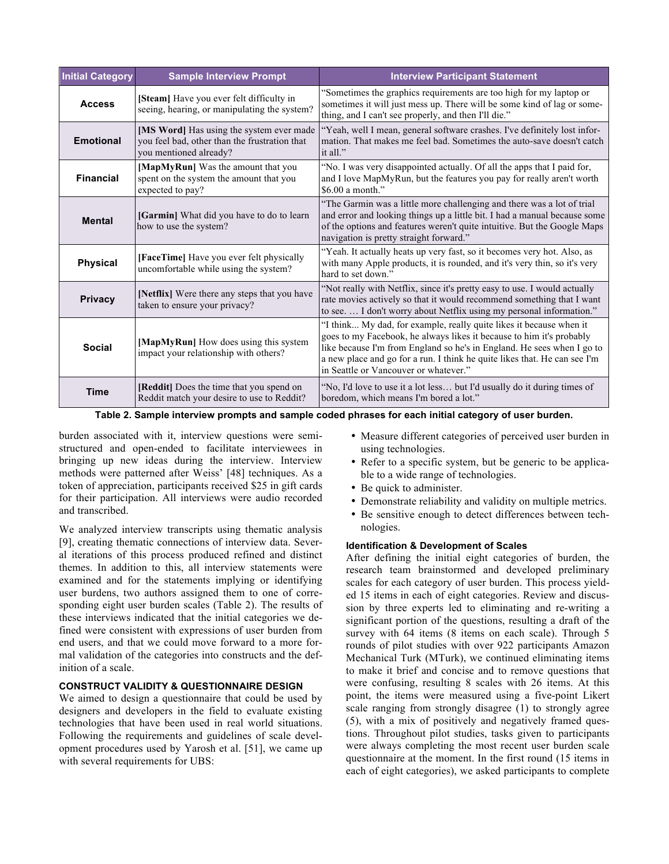| <b>Initial Category</b>                                                                                                                 | <b>Sample Interview Prompt</b>                                                                    | <b>Interview Participant Statement</b>                                                                                                                                                                                                                                                                                                      |  |  |  |
|-----------------------------------------------------------------------------------------------------------------------------------------|---------------------------------------------------------------------------------------------------|---------------------------------------------------------------------------------------------------------------------------------------------------------------------------------------------------------------------------------------------------------------------------------------------------------------------------------------------|--|--|--|
| <b>Access</b>                                                                                                                           | [Steam] Have you ever felt difficulty in<br>seeing, hearing, or manipulating the system?          | "Sometimes the graphics requirements are too high for my laptop or<br>sometimes it will just mess up. There will be some kind of lag or some-<br>thing, and I can't see properly, and then I'll die."                                                                                                                                       |  |  |  |
| [MS Word] Has using the system ever made<br><b>Emotional</b><br>you feel bad, other than the frustration that<br>you mentioned already? |                                                                                                   | "Yeah, well I mean, general software crashes. I've definitely lost infor-<br>mation. That makes me feel bad. Sometimes the auto-save doesn't catch<br>it all."                                                                                                                                                                              |  |  |  |
| <b>Financial</b>                                                                                                                        | [MapMyRun] Was the amount that you<br>spent on the system the amount that you<br>expected to pay? | "No. I was very disappointed actually. Of all the apps that I paid for,<br>and I love MapMyRun, but the features you pay for really aren't worth<br>$$6.00$ a month."                                                                                                                                                                       |  |  |  |
| <b>Mental</b>                                                                                                                           | [Garmin] What did you have to do to learn<br>how to use the system?                               | "The Garmin was a little more challenging and there was a lot of trial<br>and error and looking things up a little bit. I had a manual because some<br>of the options and features weren't quite intuitive. But the Google Maps<br>navigation is pretty straight forward."                                                                  |  |  |  |
| <b>Physical</b>                                                                                                                         | [FaceTime] Have you ever felt physically<br>uncomfortable while using the system?                 | "Yeah. It actually heats up very fast, so it becomes very hot. Also, as<br>with many Apple products, it is rounded, and it's very thin, so it's very<br>hard to set down."                                                                                                                                                                  |  |  |  |
| [Netflix] Were there any steps that you have<br><b>Privacy</b><br>taken to ensure your privacy?                                         |                                                                                                   | "Not really with Netflix, since it's pretty easy to use. I would actually<br>rate movies actively so that it would recommend something that I want<br>to see.  I don't worry about Netflix using my personal information."                                                                                                                  |  |  |  |
| <b>Social</b>                                                                                                                           | [MapMyRun] How does using this system<br>impact your relationship with others?                    | "I think My dad, for example, really quite likes it because when it<br>goes to my Facebook, he always likes it because to him it's probably<br>like because I'm from England so he's in England. He sees when I go to<br>a new place and go for a run. I think he quite likes that. He can see I'm<br>in Seattle or Vancouver or whatever." |  |  |  |
| <b>Time</b>                                                                                                                             | [Reddit] Does the time that you spend on<br>Reddit match your desire to use to Reddit?            | "No, I'd love to use it a lot less but I'd usually do it during times of<br>boredom, which means I'm bored a lot."                                                                                                                                                                                                                          |  |  |  |

**Table 2. Sample interview prompts and sample coded phrases for each initial category of user burden.**

burden associated with it, interview questions were semistructured and open-ended to facilitate interviewees in bringing up new ideas during the interview. Interview methods were patterned after Weiss' [48] techniques. As a token of appreciation, participants received \$25 in gift cards for their participation. All interviews were audio recorded and transcribed.

We analyzed interview transcripts using thematic analysis [9], creating thematic connections of interview data. Several iterations of this process produced refined and distinct themes. In addition to this, all interview statements were examined and for the statements implying or identifying user burdens, two authors assigned them to one of corresponding eight user burden scales (Table 2). The results of these interviews indicated that the initial categories we defined were consistent with expressions of user burden from end users, and that we could move forward to a more formal validation of the categories into constructs and the definition of a scale.

# **CONSTRUCT VALIDITY & QUESTIONNAIRE DESIGN**

We aimed to design a questionnaire that could be used by designers and developers in the field to evaluate existing technologies that have been used in real world situations. Following the requirements and guidelines of scale development procedures used by Yarosh et al. [51], we came up with several requirements for UBS:

- Measure different categories of perceived user burden in using technologies.
- Refer to a specific system, but be generic to be applicable to a wide range of technologies.
- Be quick to administer.
- Demonstrate reliability and validity on multiple metrics.
- Be sensitive enough to detect differences between technologies.

# **Identification & Development of Scales**

After defining the initial eight categories of burden, the research team brainstormed and developed preliminary scales for each category of user burden. This process yielded 15 items in each of eight categories. Review and discussion by three experts led to eliminating and re-writing a significant portion of the questions, resulting a draft of the survey with 64 items (8 items on each scale). Through 5 rounds of pilot studies with over 922 participants Amazon Mechanical Turk (MTurk), we continued eliminating items to make it brief and concise and to remove questions that were confusing, resulting 8 scales with 26 items. At this point, the items were measured using a five-point Likert scale ranging from strongly disagree (1) to strongly agree (5), with a mix of positively and negatively framed questions. Throughout pilot studies, tasks given to participants were always completing the most recent user burden scale questionnaire at the moment. In the first round (15 items in each of eight categories), we asked participants to complete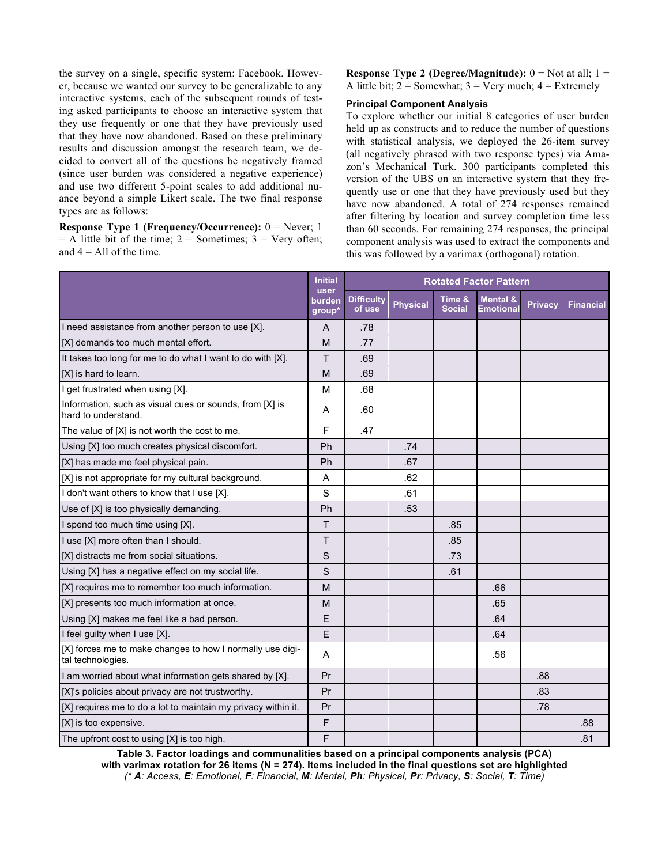the survey on a single, specific system: Facebook. However, because we wanted our survey to be generalizable to any interactive systems, each of the subsequent rounds of testing asked participants to choose an interactive system that they use frequently or one that they have previously used that they have now abandoned. Based on these preliminary results and discussion amongst the research team, we decided to convert all of the questions be negatively framed (since user burden was considered a negative experience) and use two different 5-point scales to add additional nuance beyond a simple Likert scale. The two final response types are as follows:

**Response Type 1 (Frequency/Occurrence):** 0 = Never; 1  $=$  A little bit of the time; 2 = Sometimes; 3 = Very often; and  $4 =$  All of the time.

**Response Type 2 (Degree/Magnitude):**  $0 = Not at all$ ;  $1 =$ A little bit;  $2 =$  Somewhat;  $3 =$  Very much;  $4 =$  Extremely

## **Principal Component Analysis**

To explore whether our initial 8 categories of user burden held up as constructs and to reduce the number of questions with statistical analysis, we deployed the 26-item survey (all negatively phrased with two response types) via Amazon's Mechanical Turk. 300 participants completed this version of the UBS on an interactive system that they frequently use or one that they have previously used but they have now abandoned. A total of 274 responses remained after filtering by location and survey completion time less than 60 seconds. For remaining 274 responses, the principal component analysis was used to extract the components and this was followed by a varimax (orthogonal) rotation.

|                                                                                | <b>Initial</b>           | <b>Rotated Factor Pattern</b> |                 |                         |                                  |                |                  |
|--------------------------------------------------------------------------------|--------------------------|-------------------------------|-----------------|-------------------------|----------------------------------|----------------|------------------|
|                                                                                | user<br>burden<br>group* | <b>Difficulty</b><br>of use   | <b>Physical</b> | Time &<br><b>Social</b> | <b>Mental &amp;</b><br>Emotional | <b>Privacy</b> | <b>Financial</b> |
| I need assistance from another person to use [X].                              | A                        | .78                           |                 |                         |                                  |                |                  |
| [X] demands too much mental effort.                                            | M                        | .77                           |                 |                         |                                  |                |                  |
| It takes too long for me to do what I want to do with [X].                     | T.                       | .69                           |                 |                         |                                  |                |                  |
| [X] is hard to learn.                                                          | M                        | .69                           |                 |                         |                                  |                |                  |
| I get frustrated when using [X].                                               | M                        | .68                           |                 |                         |                                  |                |                  |
| Information, such as visual cues or sounds, from [X] is<br>hard to understand. | A                        | .60                           |                 |                         |                                  |                |                  |
| The value of [X] is not worth the cost to me.                                  | F                        | .47                           |                 |                         |                                  |                |                  |
| Using [X] too much creates physical discomfort.                                | Ph                       |                               | .74             |                         |                                  |                |                  |
| [X] has made me feel physical pain.                                            | Ph                       |                               | .67             |                         |                                  |                |                  |
| [X] is not appropriate for my cultural background.                             | Α                        |                               | .62             |                         |                                  |                |                  |
| I don't want others to know that I use [X].                                    | S                        |                               | .61             |                         |                                  |                |                  |
| Use of [X] is too physically demanding.                                        | Ph                       |                               | .53             |                         |                                  |                |                  |
| I spend too much time using [X].                                               | Τ                        |                               |                 | .85                     |                                  |                |                  |
| I use [X] more often than I should.                                            | T.                       |                               |                 | .85                     |                                  |                |                  |
| [X] distracts me from social situations.                                       | S                        |                               |                 | .73                     |                                  |                |                  |
| Using [X] has a negative effect on my social life.                             | S                        |                               |                 | .61                     |                                  |                |                  |
| [X] requires me to remember too much information.                              | M                        |                               |                 |                         | .66                              |                |                  |
| [X] presents too much information at once.                                     | M                        |                               |                 |                         | .65                              |                |                  |
| Using [X] makes me feel like a bad person.                                     | Ε                        |                               |                 |                         | .64                              |                |                  |
| I feel guilty when I use [X].                                                  | E                        |                               |                 |                         | .64                              |                |                  |
| [X] forces me to make changes to how I normally use digi-<br>tal technologies. | Α                        |                               |                 |                         | .56                              |                |                  |
| I am worried about what information gets shared by [X].                        | Pr                       |                               |                 |                         |                                  | .88            |                  |
| [X]'s policies about privacy are not trustworthy.                              | Pr                       |                               |                 |                         |                                  | .83            |                  |
| [X] requires me to do a lot to maintain my privacy within it.                  | Pr                       |                               |                 |                         |                                  | .78            |                  |
| [X] is too expensive.                                                          | F                        |                               |                 |                         |                                  |                | .88              |
| The upfront cost to using [X] is too high.                                     | F                        |                               |                 |                         |                                  |                | .81              |

**Table 3. Factor loadings and communalities based on a principal components analysis (PCA) with varimax rotation for 26 items (N = 274). Items included in the final questions set are highlighted** *(\* A: Access, E: Emotional, F: Financial, M: Mental, Ph: Physical, Pr: Privacy, S: Social, T: Time)*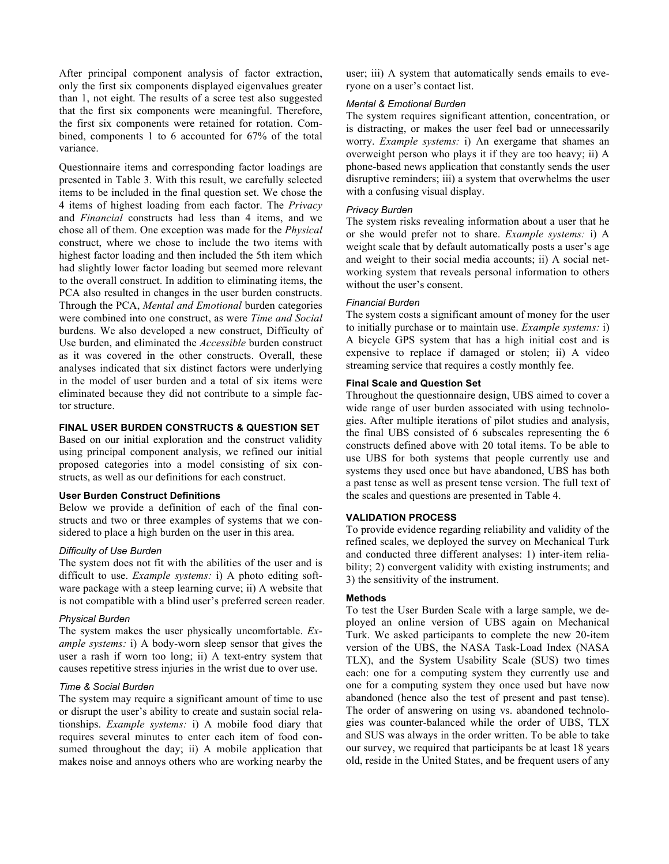After principal component analysis of factor extraction, only the first six components displayed eigenvalues greater than 1, not eight. The results of a scree test also suggested that the first six components were meaningful. Therefore, the first six components were retained for rotation. Combined, components 1 to 6 accounted for 67% of the total variance.

Questionnaire items and corresponding factor loadings are presented in Table 3. With this result, we carefully selected items to be included in the final question set. We chose the 4 items of highest loading from each factor. The *Privacy* and *Financial* constructs had less than 4 items, and we chose all of them. One exception was made for the *Physical* construct, where we chose to include the two items with highest factor loading and then included the 5th item which had slightly lower factor loading but seemed more relevant to the overall construct. In addition to eliminating items, the PCA also resulted in changes in the user burden constructs. Through the PCA, *Mental and Emotional* burden categories were combined into one construct, as were *Time and Social* burdens. We also developed a new construct, Difficulty of Use burden, and eliminated the *Accessible* burden construct as it was covered in the other constructs. Overall, these analyses indicated that six distinct factors were underlying in the model of user burden and a total of six items were eliminated because they did not contribute to a simple factor structure.

# **FINAL USER BURDEN CONSTRUCTS & QUESTION SET**

Based on our initial exploration and the construct validity using principal component analysis, we refined our initial proposed categories into a model consisting of six constructs, as well as our definitions for each construct.

## **User Burden Construct Definitions**

Below we provide a definition of each of the final constructs and two or three examples of systems that we considered to place a high burden on the user in this area.

#### *Difficulty of Use Burden*

The system does not fit with the abilities of the user and is difficult to use. *Example systems:* i) A photo editing software package with a steep learning curve; ii) A website that is not compatible with a blind user's preferred screen reader.

#### *Physical Burden*

The system makes the user physically uncomfortable. *Example systems:* i) A body-worn sleep sensor that gives the user a rash if worn too long; ii) A text-entry system that causes repetitive stress injuries in the wrist due to over use.

#### *Time & Social Burden*

The system may require a significant amount of time to use or disrupt the user's ability to create and sustain social relationships. *Example systems:* i) A mobile food diary that requires several minutes to enter each item of food consumed throughout the day; ii) A mobile application that makes noise and annoys others who are working nearby the

user; iii) A system that automatically sends emails to everyone on a user's contact list.

#### *Mental & Emotional Burden*

The system requires significant attention, concentration, or is distracting, or makes the user feel bad or unnecessarily worry. *Example systems:* i) An exergame that shames an overweight person who plays it if they are too heavy; ii) A phone-based news application that constantly sends the user disruptive reminders; iii) a system that overwhelms the user with a confusing visual display.

#### *Privacy Burden*

The system risks revealing information about a user that he or she would prefer not to share. *Example systems:* i) A weight scale that by default automatically posts a user's age and weight to their social media accounts; ii) A social networking system that reveals personal information to others without the user's consent.

#### *Financial Burden*

The system costs a significant amount of money for the user to initially purchase or to maintain use. *Example systems:* i) A bicycle GPS system that has a high initial cost and is expensive to replace if damaged or stolen; ii) A video streaming service that requires a costly monthly fee.

# **Final Scale and Question Set**

Throughout the questionnaire design, UBS aimed to cover a wide range of user burden associated with using technologies. After multiple iterations of pilot studies and analysis, the final UBS consisted of 6 subscales representing the 6 constructs defined above with 20 total items. To be able to use UBS for both systems that people currently use and systems they used once but have abandoned, UBS has both a past tense as well as present tense version. The full text of the scales and questions are presented in Table 4.

# **VALIDATION PROCESS**

To provide evidence regarding reliability and validity of the refined scales, we deployed the survey on Mechanical Turk and conducted three different analyses: 1) inter-item reliability; 2) convergent validity with existing instruments; and 3) the sensitivity of the instrument.

#### **Methods**

To test the User Burden Scale with a large sample, we deployed an online version of UBS again on Mechanical Turk. We asked participants to complete the new 20-item version of the UBS, the NASA Task-Load Index (NASA TLX), and the System Usability Scale (SUS) two times each: one for a computing system they currently use and one for a computing system they once used but have now abandoned (hence also the test of present and past tense). The order of answering on using vs. abandoned technologies was counter-balanced while the order of UBS, TLX and SUS was always in the order written. To be able to take our survey, we required that participants be at least 18 years old, reside in the United States, and be frequent users of any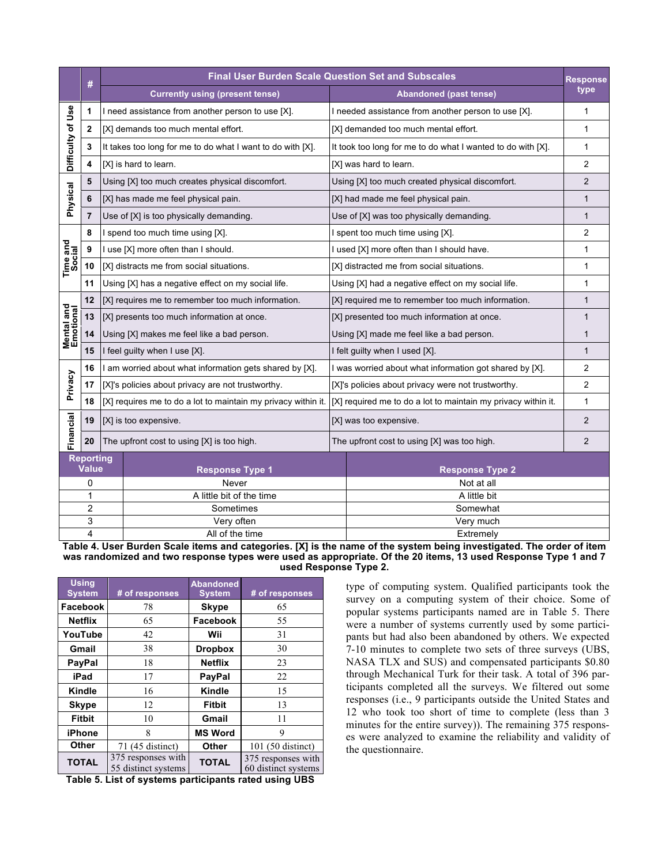|                                 | #                                   |  | <b>Final User Burden Scale Question Set and Subscales</b>     |                                                               |                |  |
|---------------------------------|-------------------------------------|--|---------------------------------------------------------------|---------------------------------------------------------------|----------------|--|
|                                 |                                     |  | <b>Currently using (present tense)</b>                        | Abandoned (past tense)                                        | type           |  |
|                                 | 1                                   |  | I need assistance from another person to use [X].             | I needed assistance from another person to use [X].           | 1              |  |
|                                 | $\mathbf{2}$                        |  | [X] demands too much mental effort.                           | [X] demanded too much mental effort.                          | 1              |  |
| Difficulty of Use               | 3                                   |  | It takes too long for me to do what I want to do with [X].    | It took too long for me to do what I wanted to do with [X].   | 1              |  |
|                                 | 4                                   |  | [X] is hard to learn.                                         | [X] was hard to learn.                                        | 2              |  |
|                                 | 5                                   |  | Using [X] too much creates physical discomfort.               | Using [X] too much created physical discomfort.               | 2              |  |
| Physical                        | 6                                   |  | [X] has made me feel physical pain.                           | [X] had made me feel physical pain.                           | 1              |  |
|                                 | $\overline{7}$                      |  | Use of [X] is too physically demanding.                       | Use of [X] was too physically demanding.                      | $\mathbf{1}$   |  |
|                                 | 8                                   |  | I spend too much time using [X].                              | I spent too much time using [X].                              | $\overline{2}$ |  |
| Time and<br>Social              | 9                                   |  | I use [X] more often than I should.                           | I used [X] more often than I should have.                     | 1              |  |
|                                 | 10                                  |  | [X] distracts me from social situations.                      | [X] distracted me from social situations.                     | 1              |  |
|                                 | 11                                  |  | Using [X] has a negative effect on my social life.            | Using [X] had a negative effect on my social life.            | 1              |  |
|                                 | 12                                  |  | [X] requires me to remember too much information.             | [X] required me to remember too much information.             | $\mathbf{1}$   |  |
| <b>Mental and<br/>Emotional</b> | 13                                  |  | [X] presents too much information at once.                    | [X] presented too much information at once.                   | $\mathbf{1}$   |  |
|                                 | 14                                  |  | Using [X] makes me feel like a bad person.                    | Using [X] made me feel like a bad person.                     | $\mathbf{1}$   |  |
|                                 | 15<br>I feel guilty when I use [X]. |  |                                                               | I felt guilty when I used [X].                                | $\mathbf{1}$   |  |
|                                 | 16                                  |  | I am worried about what information gets shared by [X].       | I was worried about what information got shared by [X].       | $\overline{2}$ |  |
| Privacy                         | 17                                  |  | [X]'s policies about privacy are not trustworthy.             | [X]'s policies about privacy were not trustworthy.            | 2              |  |
|                                 | 18                                  |  | [X] requires me to do a lot to maintain my privacy within it. | [X] required me to do a lot to maintain my privacy within it. | 1              |  |
|                                 | 19                                  |  | [X] is too expensive.                                         | [X] was too expensive.                                        |                |  |
| Financial                       | 20                                  |  | The upfront cost to using [X] is too high.                    | The upfront cost to using [X] was too high.                   |                |  |
|                                 | <b>Reporting</b><br><b>Value</b>    |  | <b>Response Type 1</b>                                        | <b>Response Type 2</b>                                        |                |  |
|                                 | 0                                   |  | Never                                                         | Not at all                                                    |                |  |
|                                 | $\mathbf{1}$                        |  | A little bit of the time                                      | A little bit                                                  |                |  |
|                                 | $\overline{c}$                      |  | Sometimes                                                     | Somewhat                                                      |                |  |
|                                 | 3                                   |  | Very often                                                    | Very much                                                     |                |  |
| 4<br>All of the time            |                                     |  | Extremely                                                     |                                                               |                |  |

**Table 4. User Burden Scale items and categories. [X] is the name of the system being investigated. The order of item was randomized and two response types were used as appropriate. Of the 20 items, 13 used Response Type 1 and 7 used Response Type 2.**

| <b>Using</b><br><b>System</b> | # of responses                            | <b>Abandoned</b><br><b>System</b> | # of responses                            |
|-------------------------------|-------------------------------------------|-----------------------------------|-------------------------------------------|
| Facebook                      | 78                                        | <b>Skype</b>                      | 65                                        |
| <b>Netflix</b>                | 65                                        | Facebook                          | 55                                        |
| YouTube                       | 42                                        | Wii                               | 31                                        |
| Gmail                         | 38                                        | <b>Dropbox</b>                    | 30                                        |
| <b>PayPal</b>                 | 18                                        | <b>Netflix</b>                    | 23                                        |
| iPad                          | 17                                        | PayPal                            | 22                                        |
| Kindle                        | 16                                        | Kindle                            | 15                                        |
| <b>Skype</b>                  | 12                                        | <b>Fitbit</b>                     | 13                                        |
| <b>Fitbit</b>                 | 10                                        | Gmail                             | 11                                        |
| iPhone                        | 8                                         | <b>MS Word</b>                    | 9                                         |
| Other                         | 71 (45 distinct)                          | Other                             | 101 (50 distinct)                         |
| <b>TOTAL</b>                  | 375 responses with<br>55 distinct systems | <b>TOTAL</b>                      | 375 responses with<br>60 distinct systems |

**Table 5. List of systems participants rated using UBS**

type of computing system. Qualified participants took the survey on a computing system of their choice. Some of popular systems participants named are in Table 5. There were a number of systems currently used by some participants but had also been abandoned by others. We expected 7-10 minutes to complete two sets of three surveys (UBS, NASA TLX and SUS) and compensated participants \$0.80 through Mechanical Turk for their task. A total of 396 participants completed all the surveys. We filtered out some responses (i.e., 9 participants outside the United States and 12 who took too short of time to complete (less than 3 minutes for the entire survey)). The remaining 375 responses were analyzed to examine the reliability and validity of the questionnaire.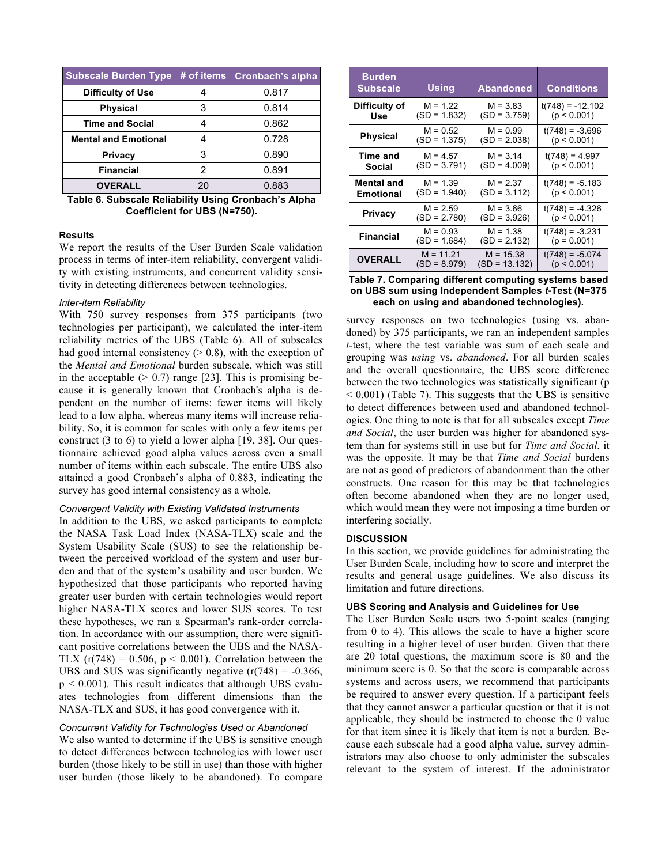| Subscale Burden Type # of items |    | Cronbach's alpha |
|---------------------------------|----|------------------|
| <b>Difficulty of Use</b>        |    | 0.817            |
| <b>Physical</b>                 | 3  | 0.814            |
| <b>Time and Social</b>          |    | 0.862            |
| <b>Mental and Emotional</b>     |    | 0.728            |
| <b>Privacy</b>                  | 3  | 0.890            |
| <b>Financial</b>                | 2  | 0.891            |
| <b>OVERALL</b>                  | 20 | 0.883            |

**Table 6. Subscale Reliability Using Cronbach's Alpha Coefficient for UBS (N=750).**

## **Results**

We report the results of the User Burden Scale validation process in terms of inter-item reliability, convergent validity with existing instruments, and concurrent validity sensitivity in detecting differences between technologies.

#### *Inter-item Reliability*

With 750 survey responses from 375 participants (two technologies per participant), we calculated the inter-item reliability metrics of the UBS (Table 6). All of subscales had good internal consistency  $(> 0.8)$ , with the exception of the *Mental and Emotional* burden subscale, which was still in the acceptable  $(> 0.7)$  range [23]. This is promising because it is generally known that Cronbach's alpha is dependent on the number of items: fewer items will likely lead to a low alpha, whereas many items will increase reliability. So, it is common for scales with only a few items per construct (3 to 6) to yield a lower alpha [19, 38]. Our questionnaire achieved good alpha values across even a small number of items within each subscale. The entire UBS also attained a good Cronbach's alpha of 0.883, indicating the survey has good internal consistency as a whole.

## *Convergent Validity with Existing Validated Instruments*

In addition to the UBS, we asked participants to complete the NASA Task Load Index (NASA-TLX) scale and the System Usability Scale (SUS) to see the relationship between the perceived workload of the system and user burden and that of the system's usability and user burden. We hypothesized that those participants who reported having greater user burden with certain technologies would report higher NASA-TLX scores and lower SUS scores. To test these hypotheses, we ran a Spearman's rank-order correlation. In accordance with our assumption, there were significant positive correlations between the UBS and the NASA-TLX  $(r(748) = 0.506, p < 0.001)$ . Correlation between the UBS and SUS was significantly negative  $(r(748) = -0.366)$ ,  $p < 0.001$ ). This result indicates that although UBS evaluates technologies from different dimensions than the NASA-TLX and SUS, it has good convergence with it.

# *Concurrent Validity for Technologies Used or Abandoned*

We also wanted to determine if the UBS is sensitive enough to detect differences between technologies with lower user burden (those likely to be still in use) than those with higher user burden (those likely to be abandoned). To compare

| <b>Burden</b><br><b>Subscale</b> | Using          | <b>Abandoned</b> | <b>Conditions</b>  |
|----------------------------------|----------------|------------------|--------------------|
| Difficulty of                    | $M = 1.22$     | $M = 3.83$       | $t(748) = -12.102$ |
| Use                              | $(SD = 1.832)$ | $(SD = 3.759)$   | (p < 0.001)        |
| <b>Physical</b>                  | $M = 0.52$     | $M = 0.99$       | $t(748) = -3.696$  |
|                                  | $(SD = 1.375)$ | $(SD = 2.038)$   | (p < 0.001)        |
| Time and                         | $M = 4.57$     | $M = 3.14$       | $t(748) = 4.997$   |
| Social                           | $(SD = 3.791)$ | $(SD = 4.009)$   | (p < 0.001)        |
| Mental and                       | $M = 1.39$     | $M = 2.37$       | $t(748) = -5.183$  |
| Emotional                        | $(SD = 1.940)$ | $(SD = 3.112)$   | (p < 0.001)        |
| Privacy                          | $M = 2.59$     | $M = 3.66$       | $t(748) = -4.326$  |
|                                  | $(SD = 2.780)$ | $(SD = 3.926)$   | (p < 0.001)        |
| Financial                        | $M = 0.93$     | $M = 1.38$       | $t(748) = -3.231$  |
|                                  | $(SD = 1.684)$ | $(SD = 2.132)$   | $(p = 0.001)$      |
| <b>OVERALL</b>                   | $M = 11.21$    | $M = 15.38$      | $t(748) = -5.074$  |
|                                  | $(SD = 8.979)$ | $(SD = 13.132)$  | (p < 0.001)        |

#### **Table 7. Comparing different computing systems based on UBS sum using Independent Samples** *t***-Test (N=375 each on using and abandoned technologies).**

survey responses on two technologies (using vs. abandoned) by 375 participants, we ran an independent samples *t*-test, where the test variable was sum of each scale and grouping was *using* vs. *abandoned*. For all burden scales and the overall questionnaire, the UBS score difference between the two technologies was statistically significant (p  $\leq$  0.001) (Table 7). This suggests that the UBS is sensitive to detect differences between used and abandoned technologies. One thing to note is that for all subscales except *Time and Social*, the user burden was higher for abandoned system than for systems still in use but for *Time and Social*, it was the opposite. It may be that *Time and Social* burdens are not as good of predictors of abandonment than the other constructs. One reason for this may be that technologies often become abandoned when they are no longer used, which would mean they were not imposing a time burden or interfering socially.

# **DISCUSSION**

In this section, we provide guidelines for administrating the User Burden Scale, including how to score and interpret the results and general usage guidelines. We also discuss its limitation and future directions.

#### **UBS Scoring and Analysis and Guidelines for Use**

The User Burden Scale users two 5-point scales (ranging from 0 to 4). This allows the scale to have a higher score resulting in a higher level of user burden. Given that there are 20 total questions, the maximum score is 80 and the minimum score is 0. So that the score is comparable across systems and across users, we recommend that participants be required to answer every question. If a participant feels that they cannot answer a particular question or that it is not applicable, they should be instructed to choose the 0 value for that item since it is likely that item is not a burden. Because each subscale had a good alpha value, survey administrators may also choose to only administer the subscales relevant to the system of interest. If the administrator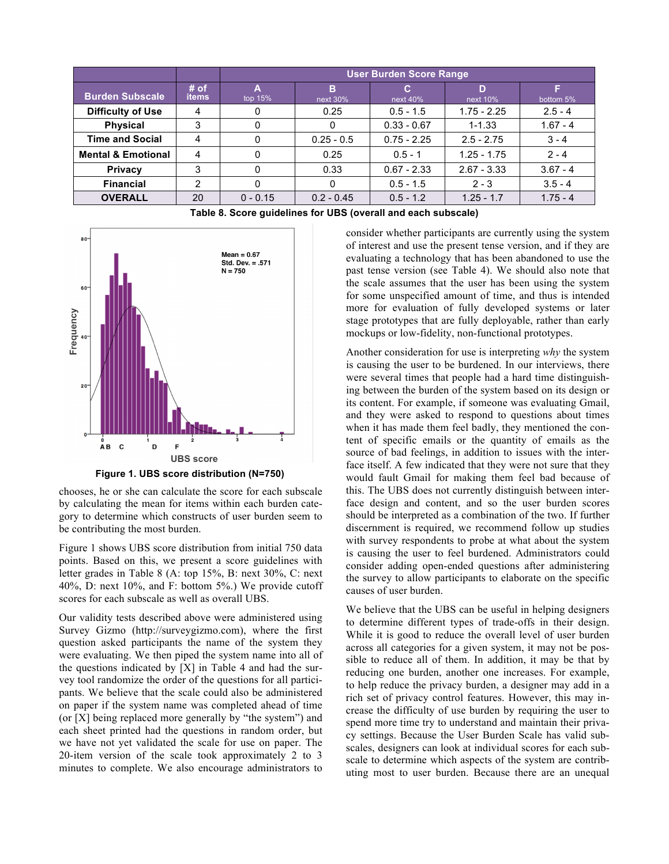|                               |                      | <b>User Burden Score Range</b> |                  |                |               |            |
|-------------------------------|----------------------|--------------------------------|------------------|----------------|---------------|------------|
| <b>Burden Subscale</b>        | # of<br><b>items</b> | А<br>top $15%$                 | в<br>next $30\%$ | C.<br>next 40% | D<br>next 10% | bottom 5%  |
| <b>Difficulty of Use</b>      |                      | 0                              | 0.25             | $0.5 - 1.5$    | $1.75 - 2.25$ | $2.5 - 4$  |
| <b>Physical</b>               | 3                    | $^{(1)}$                       |                  | $0.33 - 0.67$  | $1 - 1.33$    | $1.67 - 4$ |
| <b>Time and Social</b>        |                      | 0                              | $0.25 - 0.5$     | $0.75 - 2.25$  | $2.5 - 2.75$  | $3 - 4$    |
| <b>Mental &amp; Emotional</b> | 4                    | 0                              | 0.25             | $0.5 - 1$      | $1.25 - 1.75$ | $2 - 4$    |
| <b>Privacy</b>                | 3                    | 0                              | 0.33             | $0.67 - 2.33$  | $2.67 - 3.33$ | $3.67 - 4$ |
| <b>Financial</b>              |                      | 0                              |                  | $0.5 - 1.5$    | $2 - 3$       | $3.5 - 4$  |
| <b>OVERALL</b>                | 20                   | $0 - 0.15$                     | $0.2 - 0.45$     | $0.5 - 1.2$    | $1.25 - 1.7$  | $1.75 - 4$ |

**Table 8. Score guidelines for UBS (overall and each subscale)**



**Figure 1. UBS score distribution (N=750)**

chooses, he or she can calculate the score for each subscale by calculating the mean for items within each burden category to determine which constructs of user burden seem to be contributing the most burden.

Figure 1 shows UBS score distribution from initial 750 data points. Based on this, we present a score guidelines with letter grades in Table 8 (A: top 15%, B: next 30%, C: next 40%, D: next 10%, and F: bottom 5%.) We provide cutoff scores for each subscale as well as overall UBS.

Our validity tests described above were administered using Survey Gizmo (http://surveygizmo.com), where the first question asked participants the name of the system they were evaluating. We then piped the system name into all of the questions indicated by [X] in Table 4 and had the survey tool randomize the order of the questions for all participants. We believe that the scale could also be administered on paper if the system name was completed ahead of time (or [X] being replaced more generally by "the system") and each sheet printed had the questions in random order, but we have not yet validated the scale for use on paper. The 20-item version of the scale took approximately 2 to 3 minutes to complete. We also encourage administrators to

consider whether participants are currently using the system of interest and use the present tense version, and if they are evaluating a technology that has been abandoned to use the past tense version (see Table 4). We should also note that the scale assumes that the user has been using the system for some unspecified amount of time, and thus is intended more for evaluation of fully developed systems or later stage prototypes that are fully deployable, rather than early mockups or low-fidelity, non-functional prototypes.

Another consideration for use is interpreting *why* the system is causing the user to be burdened. In our interviews, there were several times that people had a hard time distinguishing between the burden of the system based on its design or its content. For example, if someone was evaluating Gmail, and they were asked to respond to questions about times when it has made them feel badly, they mentioned the content of specific emails or the quantity of emails as the source of bad feelings, in addition to issues with the interface itself. A few indicated that they were not sure that they would fault Gmail for making them feel bad because of this. The UBS does not currently distinguish between interface design and content, and so the user burden scores should be interpreted as a combination of the two. If further discernment is required, we recommend follow up studies with survey respondents to probe at what about the system is causing the user to feel burdened. Administrators could consider adding open-ended questions after administering the survey to allow participants to elaborate on the specific causes of user burden.

We believe that the UBS can be useful in helping designers to determine different types of trade-offs in their design. While it is good to reduce the overall level of user burden across all categories for a given system, it may not be possible to reduce all of them. In addition, it may be that by reducing one burden, another one increases. For example, to help reduce the privacy burden, a designer may add in a rich set of privacy control features. However, this may increase the difficulty of use burden by requiring the user to spend more time try to understand and maintain their privacy settings. Because the User Burden Scale has valid subscales, designers can look at individual scores for each subscale to determine which aspects of the system are contributing most to user burden. Because there are an unequal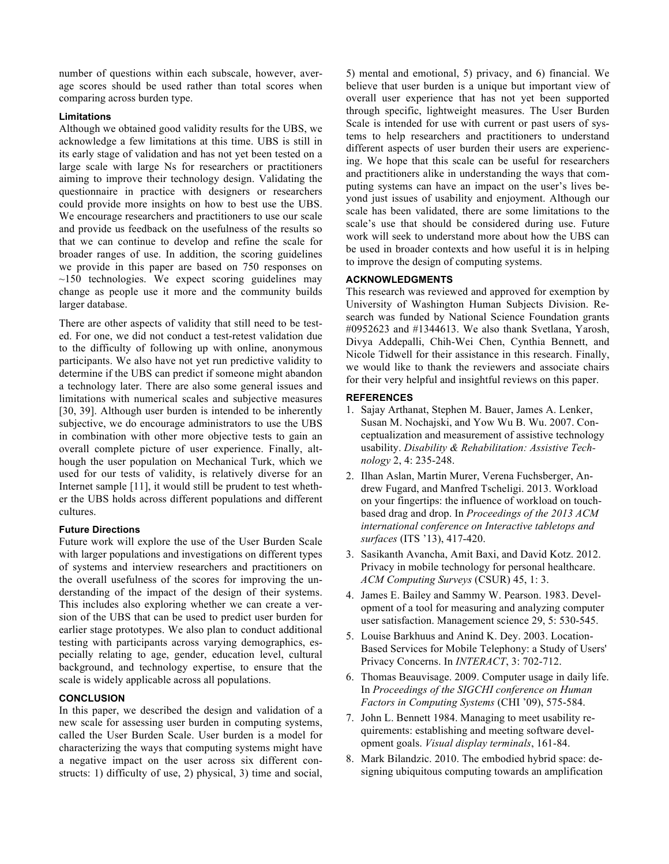number of questions within each subscale, however, average scores should be used rather than total scores when comparing across burden type.

# **Limitations**

Although we obtained good validity results for the UBS, we acknowledge a few limitations at this time. UBS is still in its early stage of validation and has not yet been tested on a large scale with large Ns for researchers or practitioners aiming to improve their technology design. Validating the questionnaire in practice with designers or researchers could provide more insights on how to best use the UBS. We encourage researchers and practitioners to use our scale and provide us feedback on the usefulness of the results so that we can continue to develop and refine the scale for broader ranges of use. In addition, the scoring guidelines we provide in this paper are based on 750 responses on  $\sim$ 150 technologies. We expect scoring guidelines may change as people use it more and the community builds larger database.

There are other aspects of validity that still need to be tested. For one, we did not conduct a test-retest validation due to the difficulty of following up with online, anonymous participants. We also have not yet run predictive validity to determine if the UBS can predict if someone might abandon a technology later. There are also some general issues and limitations with numerical scales and subjective measures [30, 39]. Although user burden is intended to be inherently subjective, we do encourage administrators to use the UBS in combination with other more objective tests to gain an overall complete picture of user experience. Finally, although the user population on Mechanical Turk, which we used for our tests of validity, is relatively diverse for an Internet sample [11], it would still be prudent to test whether the UBS holds across different populations and different cultures.

## **Future Directions**

Future work will explore the use of the User Burden Scale with larger populations and investigations on different types of systems and interview researchers and practitioners on the overall usefulness of the scores for improving the understanding of the impact of the design of their systems. This includes also exploring whether we can create a version of the UBS that can be used to predict user burden for earlier stage prototypes. We also plan to conduct additional testing with participants across varying demographics, especially relating to age, gender, education level, cultural background, and technology expertise, to ensure that the scale is widely applicable across all populations.

# **CONCLUSION**

In this paper, we described the design and validation of a new scale for assessing user burden in computing systems, called the User Burden Scale. User burden is a model for characterizing the ways that computing systems might have a negative impact on the user across six different constructs: 1) difficulty of use, 2) physical, 3) time and social,

5) mental and emotional, 5) privacy, and 6) financial. We believe that user burden is a unique but important view of overall user experience that has not yet been supported through specific, lightweight measures. The User Burden Scale is intended for use with current or past users of systems to help researchers and practitioners to understand different aspects of user burden their users are experiencing. We hope that this scale can be useful for researchers and practitioners alike in understanding the ways that computing systems can have an impact on the user's lives beyond just issues of usability and enjoyment. Although our scale has been validated, there are some limitations to the scale's use that should be considered during use. Future work will seek to understand more about how the UBS can be used in broader contexts and how useful it is in helping to improve the design of computing systems.

# **ACKNOWLEDGMENTS**

This research was reviewed and approved for exemption by University of Washington Human Subjects Division. Research was funded by National Science Foundation grants #0952623 and #1344613. We also thank Svetlana, Yarosh, Divya Addepalli, Chih-Wei Chen, Cynthia Bennett, and Nicole Tidwell for their assistance in this research. Finally, we would like to thank the reviewers and associate chairs for their very helpful and insightful reviews on this paper.

## **REFERENCES**

- 1. Sajay Arthanat, Stephen M. Bauer, James A. Lenker, Susan M. Nochajski, and Yow Wu B. Wu. 2007. Conceptualization and measurement of assistive technology usability. *Disability & Rehabilitation: Assistive Technology* 2, 4: 235-248.
- 2. Ilhan Aslan, Martin Murer, Verena Fuchsberger, Andrew Fugard, and Manfred Tscheligi. 2013. Workload on your fingertips: the influence of workload on touchbased drag and drop. In *Proceedings of the 2013 ACM international conference on Interactive tabletops and surfaces* (ITS '13), 417-420.
- 3. Sasikanth Avancha, Amit Baxi, and David Kotz. 2012. Privacy in mobile technology for personal healthcare. *ACM Computing Surveys* (CSUR) 45, 1: 3.
- 4. James E. Bailey and Sammy W. Pearson. 1983. Development of a tool for measuring and analyzing computer user satisfaction. Management science 29, 5: 530-545.
- 5. Louise Barkhuus and Anind K. Dey. 2003. Location-Based Services for Mobile Telephony: a Study of Users' Privacy Concerns. In *INTERACT*, 3: 702-712.
- 6. Thomas Beauvisage. 2009. Computer usage in daily life. In *Proceedings of the SIGCHI conference on Human Factors in Computing Systems* (CHI '09), 575-584.
- 7. John L. Bennett 1984. Managing to meet usability requirements: establishing and meeting software development goals. *Visual display terminals*, 161-84.
- 8. Mark Bilandzic. 2010. The embodied hybrid space: designing ubiquitous computing towards an amplification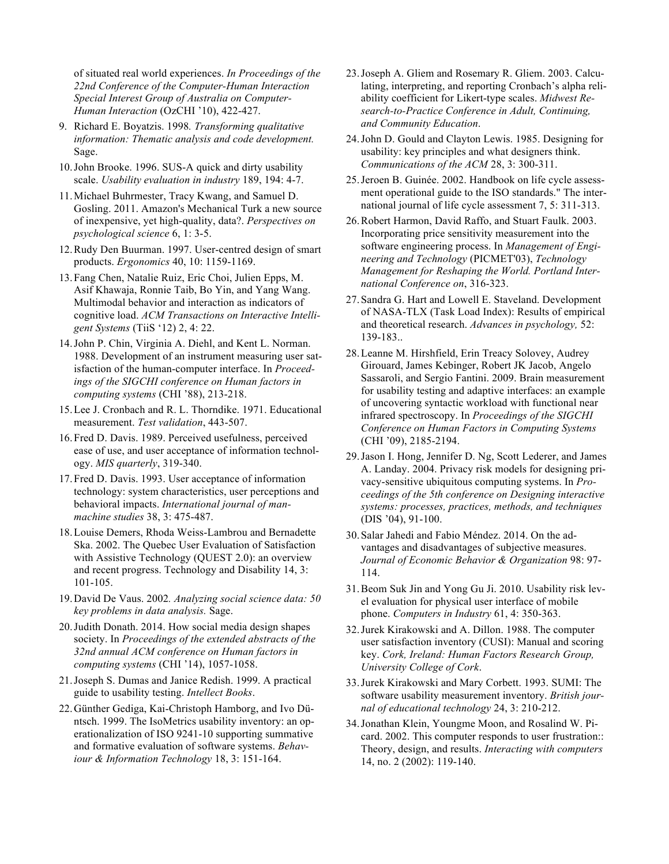of situated real world experiences. *In Proceedings of the 22nd Conference of the Computer-Human Interaction Special Interest Group of Australia on Computer-Human Interaction* (OzCHI '10), 422-427.

- 9. Richard E. Boyatzis. 1998*. Transforming qualitative information: Thematic analysis and code development.* Sage.
- 10.John Brooke. 1996. SUS-A quick and dirty usability scale. *Usability evaluation in industry* 189, 194: 4-7.
- 11.Michael Buhrmester, Tracy Kwang, and Samuel D. Gosling. 2011. Amazon's Mechanical Turk a new source of inexpensive, yet high-quality, data?. *Perspectives on psychological science* 6, 1: 3-5.
- 12.Rudy Den Buurman. 1997. User-centred design of smart products. *Ergonomics* 40, 10: 1159-1169.
- 13.Fang Chen, Natalie Ruiz, Eric Choi, Julien Epps, M. Asif Khawaja, Ronnie Taib, Bo Yin, and Yang Wang. Multimodal behavior and interaction as indicators of cognitive load. *ACM Transactions on Interactive Intelligent Systems* (TiiS '12) 2, 4: 22.
- 14.John P. Chin, Virginia A. Diehl, and Kent L. Norman. 1988. Development of an instrument measuring user satisfaction of the human-computer interface. In *Proceedings of the SIGCHI conference on Human factors in computing systems* (CHI '88), 213-218.
- 15.Lee J. Cronbach and R. L. Thorndike. 1971. Educational measurement. *Test validation*, 443-507.
- 16.Fred D. Davis. 1989. Perceived usefulness, perceived ease of use, and user acceptance of information technology. *MIS quarterly*, 319-340.
- 17.Fred D. Davis. 1993. User acceptance of information technology: system characteristics, user perceptions and behavioral impacts. *International journal of manmachine studies* 38, 3: 475-487.
- 18.Louise Demers, Rhoda Weiss-Lambrou and Bernadette Ska. 2002. The Quebec User Evaluation of Satisfaction with Assistive Technology (QUEST 2.0): an overview and recent progress. Technology and Disability 14, 3: 101-105.
- 19.David De Vaus. 2002*. Analyzing social science data: 50 key problems in data analysis.* Sage.
- 20.Judith Donath. 2014. How social media design shapes society. In *Proceedings of the extended abstracts of the 32nd annual ACM conference on Human factors in computing systems* (CHI '14), 1057-1058.
- 21.Joseph S. Dumas and Janice Redish. 1999. A practical guide to usability testing. *Intellect Books*.
- 22.Günther Gediga, Kai-Christoph Hamborg, and Ivo Düntsch. 1999. The IsoMetrics usability inventory: an operationalization of ISO 9241-10 supporting summative and formative evaluation of software systems. *Behaviour & Information Technology* 18, 3: 151-164.
- 23.Joseph A. Gliem and Rosemary R. Gliem. 2003. Calculating, interpreting, and reporting Cronbach's alpha reliability coefficient for Likert-type scales. *Midwest Research-to-Practice Conference in Adult, Continuing, and Community Education*.
- 24.John D. Gould and Clayton Lewis. 1985. Designing for usability: key principles and what designers think. *Communications of the ACM* 28, 3: 300-311.
- 25.Jeroen B. Guinée. 2002. Handbook on life cycle assessment operational guide to the ISO standards." The international journal of life cycle assessment 7, 5: 311-313.
- 26.Robert Harmon, David Raffo, and Stuart Faulk. 2003. Incorporating price sensitivity measurement into the software engineering process. In *Management of Engineering and Technology* (PICMET'03), *Technology Management for Reshaping the World. Portland International Conference on*, 316-323.
- 27.Sandra G. Hart and Lowell E. Staveland. Development of NASA-TLX (Task Load Index): Results of empirical and theoretical research. *Advances in psychology,* 52: 139-183..
- 28.Leanne M. Hirshfield, Erin Treacy Solovey, Audrey Girouard, James Kebinger, Robert JK Jacob, Angelo Sassaroli, and Sergio Fantini. 2009. Brain measurement for usability testing and adaptive interfaces: an example of uncovering syntactic workload with functional near infrared spectroscopy. In *Proceedings of the SIGCHI Conference on Human Factors in Computing Systems* (CHI '09), 2185-2194.
- 29.Jason I. Hong, Jennifer D. Ng, Scott Lederer, and James A. Landay. 2004. Privacy risk models for designing privacy-sensitive ubiquitous computing systems. In *Proceedings of the 5th conference on Designing interactive systems: processes, practices, methods, and techniques* (DIS '04), 91-100.
- 30.Salar Jahedi and Fabio Méndez. 2014. On the advantages and disadvantages of subjective measures. *Journal of Economic Behavior & Organization* 98: 97- 114.
- 31.Beom Suk Jin and Yong Gu Ji. 2010. Usability risk level evaluation for physical user interface of mobile phone. *Computers in Industry* 61, 4: 350-363.
- 32.Jurek Kirakowski and A. Dillon. 1988. The computer user satisfaction inventory (CUSI): Manual and scoring key. *Cork, Ireland: Human Factors Research Group, University College of Cork*.
- 33.Jurek Kirakowski and Mary Corbett. 1993. SUMI: The software usability measurement inventory. *British journal of educational technology* 24, 3: 210-212.
- 34.Jonathan Klein, Youngme Moon, and Rosalind W. Picard. 2002. This computer responds to user frustration:: Theory, design, and results. *Interacting with computers* 14, no. 2 (2002): 119-140.